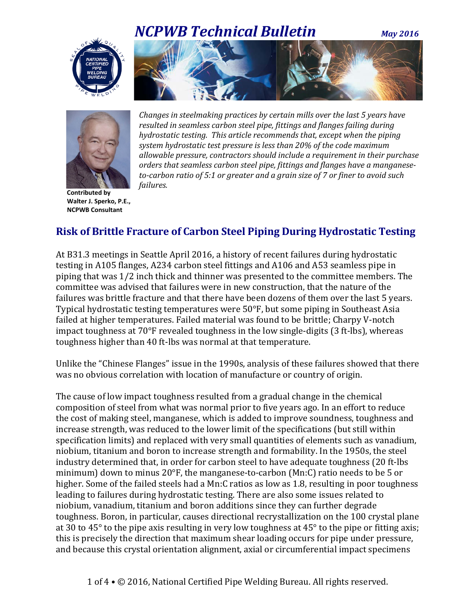# *NCPWB Technical Bulletin**May <sup>2016</sup>*





*Changes in steelmaking practices by certain mills over the last 5 years have resulted in seamless carbon steel pipe, fittings and flanges failing during hydrostatic testing. This article recommends that, except when the piping system hydrostatic test pressure is less than 20% of the code maximum allowable pressure, contractors should include a requirement in their purchase orders that seamless carbon steel pipe, fittings and flanges have a manganeseto-carbon ratio of 5:1 or greater and a grain size of 7 or finer to avoid such failures.*

**Contributed by Walter J. Sperko, P.E., NCPWB Consultant**

## **Risk of Brittle Fracture of Carbon Steel Piping During Hydrostatic Testing**

At B31.3 meetings in Seattle April 2016, a history of recent failures during hydrostatic testing in A105 flanges, A234 carbon steel fittings and A106 and A53 seamless pipe in piping that was 1/2 inch thick and thinner was presented to the committee members. The committee was advised that failures were in new construction, that the nature of the failures was brittle fracture and that there have been dozens of them over the last 5 years. Typical hydrostatic testing temperatures were 50°F, but some piping in Southeast Asia failed at higher temperatures. Failed material was found to be brittle; Charpy V-notch impact toughness at 70°F revealed toughness in the low single-digits (3 ft-lbs), whereas toughness higher than 40 ft-lbs was normal at that temperature.

Unlike the "Chinese Flanges" issue in the 1990s, analysis of these failures showed that there was no obvious correlation with location of manufacture or country of origin.

The cause of low impact toughness resulted from a gradual change in the chemical composition of steel from what was normal prior to five years ago. In an effort to reduce the cost of making steel, manganese, which is added to improve soundness, toughness and increase strength, was reduced to the lower limit of the specifications (but still within specification limits) and replaced with very small quantities of elements such as vanadium, niobium, titanium and boron to increase strength and formability. In the 1950s, the steel industry determined that, in order for carbon steel to have adequate toughness (20 ft-lbs minimum) down to minus 20°F, the manganese-to-carbon (Mn:C) ratio needs to be 5 or higher. Some of the failed steels had a Mn:C ratios as low as 1.8, resulting in poor toughness leading to failures during hydrostatic testing. There are also some issues related to niobium, vanadium, titanium and boron additions since they can further degrade toughness. Boron, in particular, causes directional recrystallization on the 100 crystal plane at 30 to 45° to the pipe axis resulting in very low toughness at 45° to the pipe or fitting axis; this is precisely the direction that maximum shear loading occurs for pipe under pressure, and because this crystal orientation alignment, axial or circumferential impact specimens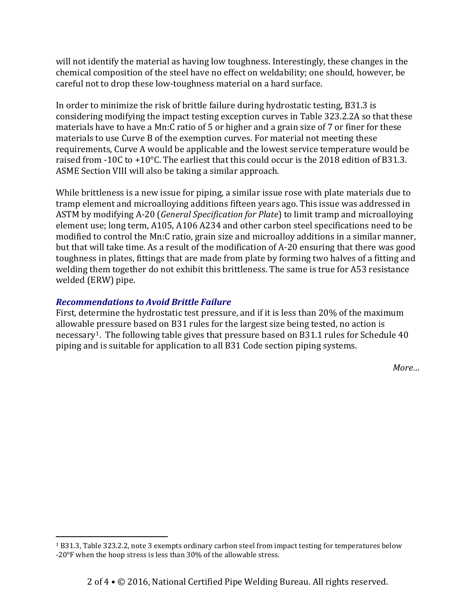will not identify the material as having low toughness. Interestingly, these changes in the chemical composition of the steel have no effect on weldability; one should, however, be careful not to drop these low-toughness material on a hard surface.

In order to minimize the risk of brittle failure during hydrostatic testing, B31.3 is considering modifying the impact testing exception curves in Table 323.2.2A so that these materials have to have a Mn:C ratio of 5 or higher and a grain size of 7 or finer for these materials to use Curve B of the exemption curves. For material not meeting these requirements, Curve A would be applicable and the lowest service temperature would be raised from -10C to +10°C. The earliest that this could occur is the 2018 edition of B31.3. ASME Section VIII will also be taking a similar approach.

While brittleness is a new issue for piping, a similar issue rose with plate materials due to tramp element and microalloying additions fifteen years ago. This issue was addressed in ASTM by modifying A-20 (*General Specification for Plate*) to limit tramp and microalloying element use; long term, A105, A106 A234 and other carbon steel specifications need to be modified to control the Mn:C ratio, grain size and microalloy additions in a similar manner, but that will take time. As a result of the modification of A-20 ensuring that there was good toughness in plates, fittings that are made from plate by forming two halves of a fitting and welding them together do not exhibit this brittleness. The same is true for A53 resistance welded (ERW) pipe.

#### *Recommendations to Avoid Brittle Failure*

First, determine the hydrostatic test pressure, and if it is less than 20% of the maximum allowable pressure based on B31 rules for the largest size being tested, no action is necessary<sup>1</sup>. The following table gives that pressure based on B3[1.](#page-1-0)1 rules for Schedule 40 piping and is suitable for application to all B31 Code section piping systems.

*More…*

<span id="page-1-0"></span> <sup>1</sup> B31.3, Table 323.2.2, note 3 exempts ordinary carbon steel from impact testing for temperatures below -20°F when the hoop stress is less than 30% of the allowable stress.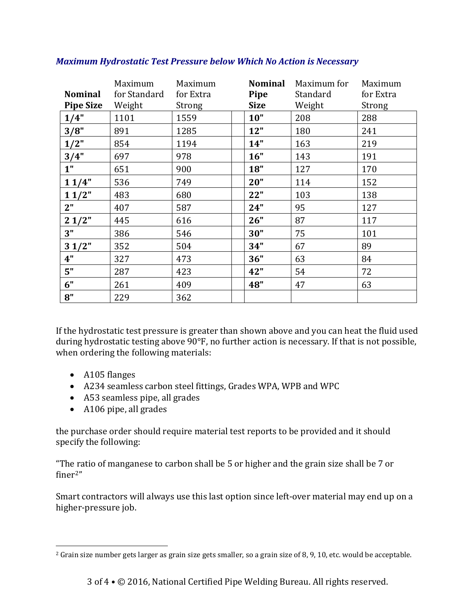| <b>Nominal</b><br><b>Pipe Size</b> | Maximum<br>for Standard<br>Weight | Maximum<br>for Extra<br>Strong | <b>Nominal</b><br>Pipe<br><b>Size</b> | Maximum for<br>Standard<br>Weight | Maximum<br>for Extra<br>Strong |
|------------------------------------|-----------------------------------|--------------------------------|---------------------------------------|-----------------------------------|--------------------------------|
| 1/4"                               | 1101                              | 1559                           | 10"                                   | 208                               | 288                            |
| 3/8"                               | 891                               | 1285                           | 12"                                   | 180                               | 241                            |
| 1/2"                               | 854                               | 1194                           | 14"                                   | 163                               | 219                            |
| 3/4"                               | 697                               | 978                            | 16"                                   | 143                               | 191                            |
| 1 <sup>''</sup>                    | 651                               | 900                            | 18"                                   | 127                               | 170                            |
| 11/4"                              | 536                               | 749                            | 20"                                   | 114                               | 152                            |
| 11/2"                              | 483                               | 680                            | 22"                                   | 103                               | 138                            |
| 2"                                 | 407                               | 587                            | 24"                                   | 95                                | 127                            |
| 21/2"                              | 445                               | 616                            | 26"                                   | 87                                | 117                            |
| 3"                                 | 386                               | 546                            | 30"                                   | 75                                | 101                            |
| 31/2"                              | 352                               | 504                            | 34"                                   | 67                                | 89                             |
| 4"                                 | 327                               | 473                            | 36"                                   | 63                                | 84                             |
| 5"                                 | 287                               | 423                            | 42"                                   | 54                                | 72                             |
| 6"                                 | 261                               | 409                            | 48"                                   | 47                                | 63                             |
| 8"                                 | 229                               | 362                            |                                       |                                   |                                |

### *Maximum Hydrostatic Test Pressure below Which No Action is Necessary*

If the hydrostatic test pressure is greater than shown above and you can heat the fluid used during hydrostatic testing above 90°F, no further action is necessary. If that is not possible, when ordering the following materials:

- A105 flanges
- A234 seamless carbon steel fittings, Grades WPA, WPB and WPC
- A53 seamless pipe, all grades
- A106 pipe, all grades

the purchase order should require material test reports to be provided and it should specify the following:

"The ratio of manganese to carbon shall be 5 or higher and the grain size shall be 7 or finer[2](#page-2-0)"

Smart contractors will always use this last option since left-over material may end up on a higher-pressure job.

<span id="page-2-0"></span> $2$  Grain size number gets larger as grain size gets smaller, so a grain size of 8, 9, 10, etc. would be acceptable.